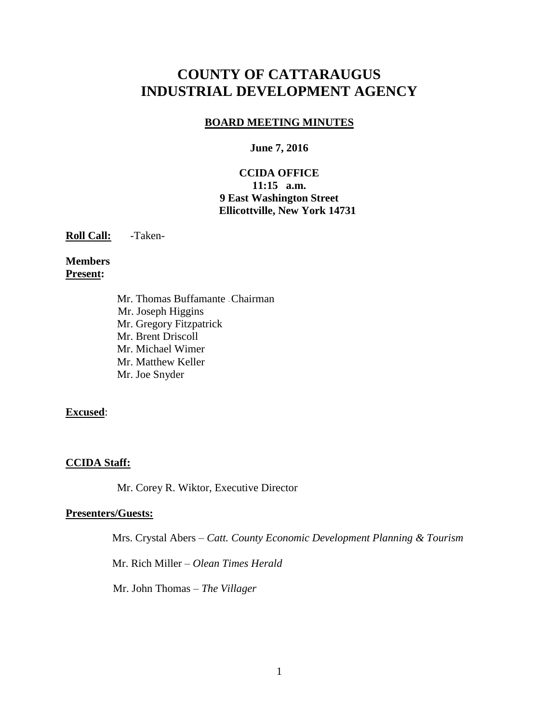# **COUNTY OF CATTARAUGUS INDUSTRIAL DEVELOPMENT AGENCY**

## **BOARD MEETING MINUTES**

#### **June 7, 2016**

## **CCIDA OFFICE 11:15 a.m. 9 East Washington Street Ellicottville, New York 14731**

**Roll Call:** -Taken-

#### **Members Present:**

Mr. Thomas Buffamante –Chairman Mr. Joseph Higgins Mr. Gregory Fitzpatrick Mr. Brent Driscoll Mr. Michael Wimer Mr. Matthew Keller Mr. Joe Snyder

#### **Excused**:

#### **CCIDA Staff:**

Mr. Corey R. Wiktor, Executive Director

#### **Presenters/Guests:**

Mrs. Crystal Abers – *Catt. County Economic Development Planning & Tourism*

Mr. Rich Miller – *Olean Times Herald*

Mr. John Thomas – *The Villager*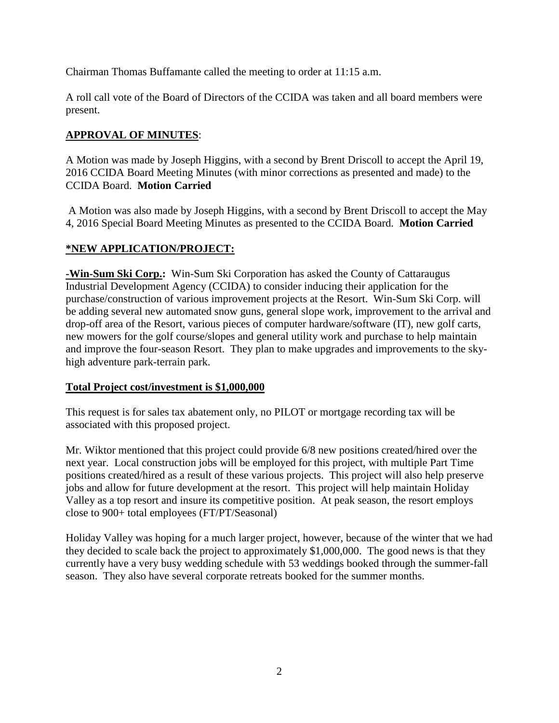Chairman Thomas Buffamante called the meeting to order at 11:15 a.m.

A roll call vote of the Board of Directors of the CCIDA was taken and all board members were present.

# **APPROVAL OF MINUTES**:

A Motion was made by Joseph Higgins, with a second by Brent Driscoll to accept the April 19, 2016 CCIDA Board Meeting Minutes (with minor corrections as presented and made) to the CCIDA Board. **Motion Carried**

A Motion was also made by Joseph Higgins, with a second by Brent Driscoll to accept the May 4, 2016 Special Board Meeting Minutes as presented to the CCIDA Board. **Motion Carried**

# **\*NEW APPLICATION/PROJECT:**

**-Win-Sum Ski Corp.:** Win-Sum Ski Corporation has asked the County of Cattaraugus Industrial Development Agency (CCIDA) to consider inducing their application for the purchase/construction of various improvement projects at the Resort. Win-Sum Ski Corp. will be adding several new automated snow guns, general slope work, improvement to the arrival and drop-off area of the Resort, various pieces of computer hardware/software (IT), new golf carts, new mowers for the golf course/slopes and general utility work and purchase to help maintain and improve the four-season Resort. They plan to make upgrades and improvements to the skyhigh adventure park-terrain park.

# **Total Project cost/investment is \$1,000,000**

This request is for sales tax abatement only, no PILOT or mortgage recording tax will be associated with this proposed project.

Mr. Wiktor mentioned that this project could provide 6/8 new positions created/hired over the next year. Local construction jobs will be employed for this project, with multiple Part Time positions created/hired as a result of these various projects. This project will also help preserve jobs and allow for future development at the resort. This project will help maintain Holiday Valley as a top resort and insure its competitive position. At peak season, the resort employs close to 900+ total employees (FT/PT/Seasonal)

Holiday Valley was hoping for a much larger project, however, because of the winter that we had they decided to scale back the project to approximately \$1,000,000. The good news is that they currently have a very busy wedding schedule with 53 weddings booked through the summer-fall season. They also have several corporate retreats booked for the summer months.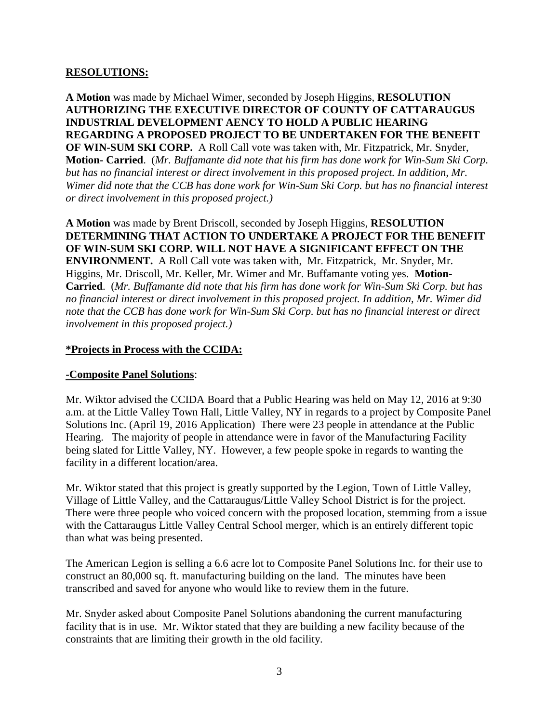## **RESOLUTIONS:**

**A Motion** was made by Michael Wimer, seconded by Joseph Higgins, **RESOLUTION AUTHORIZING THE EXECUTIVE DIRECTOR OF COUNTY OF CATTARAUGUS INDUSTRIAL DEVELOPMENT AENCY TO HOLD A PUBLIC HEARING REGARDING A PROPOSED PROJECT TO BE UNDERTAKEN FOR THE BENEFIT OF WIN-SUM SKI CORP.** A Roll Call vote was taken with, Mr. Fitzpatrick, Mr. Snyder, **Motion- Carried**. (*Mr. Buffamante did note that his firm has done work for Win-Sum Ski Corp. but has no financial interest or direct involvement in this proposed project. In addition, Mr. Wimer did note that the CCB has done work for Win-Sum Ski Corp. but has no financial interest or direct involvement in this proposed project.)*

**A Motion** was made by Brent Driscoll, seconded by Joseph Higgins, **RESOLUTION DETERMINING THAT ACTION TO UNDERTAKE A PROJECT FOR THE BENEFIT OF WIN-SUM SKI CORP. WILL NOT HAVE A SIGNIFICANT EFFECT ON THE ENVIRONMENT.** A Roll Call vote was taken with, Mr. Fitzpatrick, Mr. Snyder, Mr. Higgins, Mr. Driscoll, Mr. Keller, Mr. Wimer and Mr. Buffamante voting yes. **Motion-Carried**. (*Mr. Buffamante did note that his firm has done work for Win-Sum Ski Corp. but has no financial interest or direct involvement in this proposed project. In addition, Mr. Wimer did note that the CCB has done work for Win-Sum Ski Corp. but has no financial interest or direct involvement in this proposed project.)*

## **\*Projects in Process with the CCIDA:**

#### **-Composite Panel Solutions**:

Mr. Wiktor advised the CCIDA Board that a Public Hearing was held on May 12, 2016 at 9:30 a.m. at the Little Valley Town Hall, Little Valley, NY in regards to a project by Composite Panel Solutions Inc. (April 19, 2016 Application) There were 23 people in attendance at the Public Hearing. The majority of people in attendance were in favor of the Manufacturing Facility being slated for Little Valley, NY. However, a few people spoke in regards to wanting the facility in a different location/area.

Mr. Wiktor stated that this project is greatly supported by the Legion, Town of Little Valley, Village of Little Valley, and the Cattaraugus/Little Valley School District is for the project. There were three people who voiced concern with the proposed location, stemming from a issue with the Cattaraugus Little Valley Central School merger, which is an entirely different topic than what was being presented.

The American Legion is selling a 6.6 acre lot to Composite Panel Solutions Inc. for their use to construct an 80,000 sq. ft. manufacturing building on the land. The minutes have been transcribed and saved for anyone who would like to review them in the future.

Mr. Snyder asked about Composite Panel Solutions abandoning the current manufacturing facility that is in use. Mr. Wiktor stated that they are building a new facility because of the constraints that are limiting their growth in the old facility.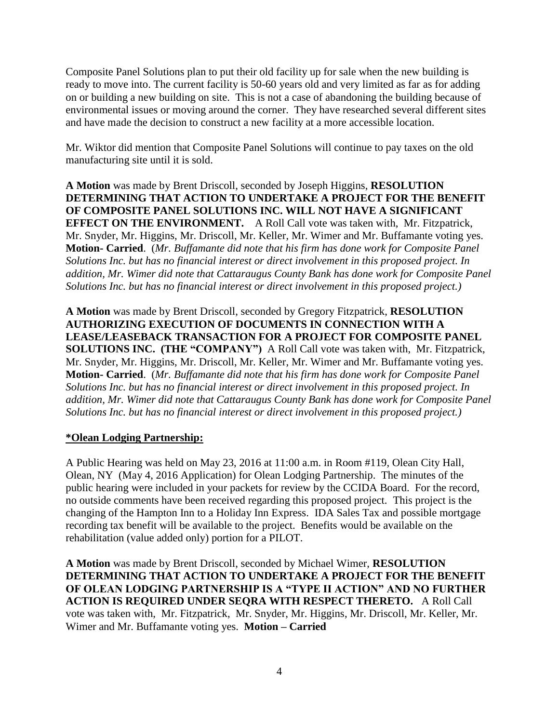Composite Panel Solutions plan to put their old facility up for sale when the new building is ready to move into. The current facility is 50-60 years old and very limited as far as for adding on or building a new building on site. This is not a case of abandoning the building because of environmental issues or moving around the corner. They have researched several different sites and have made the decision to construct a new facility at a more accessible location.

Mr. Wiktor did mention that Composite Panel Solutions will continue to pay taxes on the old manufacturing site until it is sold.

**A Motion** was made by Brent Driscoll, seconded by Joseph Higgins, **RESOLUTION DETERMINING THAT ACTION TO UNDERTAKE A PROJECT FOR THE BENEFIT OF COMPOSITE PANEL SOLUTIONS INC. WILL NOT HAVE A SIGNIFICANT EFFECT ON THE ENVIRONMENT.** A Roll Call vote was taken with, Mr. Fitzpatrick, Mr. Snyder, Mr. Higgins, Mr. Driscoll, Mr. Keller, Mr. Wimer and Mr. Buffamante voting yes. **Motion- Carried**. (*Mr. Buffamante did note that his firm has done work for Composite Panel Solutions Inc. but has no financial interest or direct involvement in this proposed project. In addition, Mr. Wimer did note that Cattaraugus County Bank has done work for Composite Panel Solutions Inc. but has no financial interest or direct involvement in this proposed project.)*

**A Motion** was made by Brent Driscoll, seconded by Gregory Fitzpatrick, **RESOLUTION AUTHORIZING EXECUTION OF DOCUMENTS IN CONNECTION WITH A LEASE/LEASEBACK TRANSACTION FOR A PROJECT FOR COMPOSITE PANEL SOLUTIONS INC. (THE "COMPANY")** A Roll Call vote was taken with, Mr. Fitzpatrick, Mr. Snyder, Mr. Higgins, Mr. Driscoll, Mr. Keller, Mr. Wimer and Mr. Buffamante voting yes. **Motion- Carried**. (*Mr. Buffamante did note that his firm has done work for Composite Panel Solutions Inc. but has no financial interest or direct involvement in this proposed project. In addition, Mr. Wimer did note that Cattaraugus County Bank has done work for Composite Panel Solutions Inc. but has no financial interest or direct involvement in this proposed project.)*

# **\*Olean Lodging Partnership:**

A Public Hearing was held on May 23, 2016 at 11:00 a.m. in Room #119, Olean City Hall, Olean, NY (May 4, 2016 Application) for Olean Lodging Partnership. The minutes of the public hearing were included in your packets for review by the CCIDA Board. For the record, no outside comments have been received regarding this proposed project. This project is the changing of the Hampton Inn to a Holiday Inn Express. IDA Sales Tax and possible mortgage recording tax benefit will be available to the project. Benefits would be available on the rehabilitation (value added only) portion for a PILOT.

**A Motion** was made by Brent Driscoll, seconded by Michael Wimer, **RESOLUTION DETERMINING THAT ACTION TO UNDERTAKE A PROJECT FOR THE BENEFIT OF OLEAN LODGING PARTNERSHIP IS A "TYPE II ACTION" AND NO FURTHER ACTION IS REQUIRED UNDER SEQRA WITH RESPECT THERETO.** A Roll Call vote was taken with, Mr. Fitzpatrick, Mr. Snyder, Mr. Higgins, Mr. Driscoll, Mr. Keller, Mr. Wimer and Mr. Buffamante voting yes. **Motion – Carried**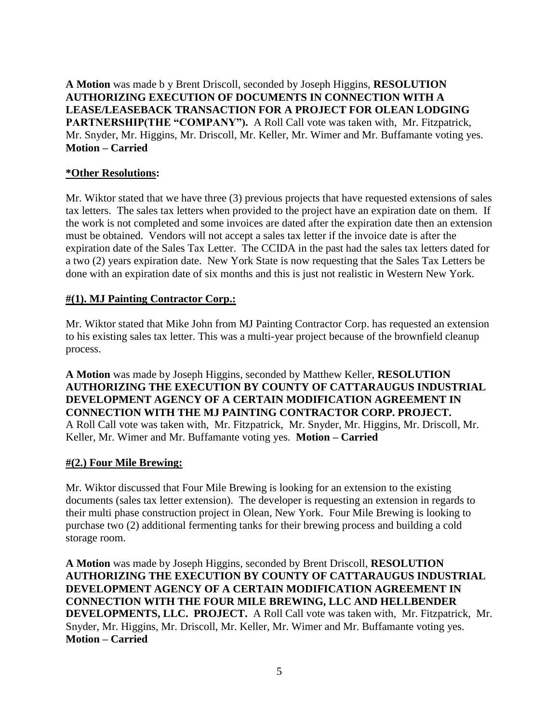**A Motion** was made b y Brent Driscoll, seconded by Joseph Higgins, **RESOLUTION AUTHORIZING EXECUTION OF DOCUMENTS IN CONNECTION WITH A LEASE/LEASEBACK TRANSACTION FOR A PROJECT FOR OLEAN LODGING PARTNERSHIP(THE "COMPANY").** A Roll Call vote was taken with, Mr. Fitzpatrick, Mr. Snyder, Mr. Higgins, Mr. Driscoll, Mr. Keller, Mr. Wimer and Mr. Buffamante voting yes. **Motion – Carried**

## **\*Other Resolutions:**

Mr. Wiktor stated that we have three (3) previous projects that have requested extensions of sales tax letters. The sales tax letters when provided to the project have an expiration date on them. If the work is not completed and some invoices are dated after the expiration date then an extension must be obtained. Vendors will not accept a sales tax letter if the invoice date is after the expiration date of the Sales Tax Letter. The CCIDA in the past had the sales tax letters dated for a two (2) years expiration date. New York State is now requesting that the Sales Tax Letters be done with an expiration date of six months and this is just not realistic in Western New York.

## **#(1). MJ Painting Contractor Corp.:**

Mr. Wiktor stated that Mike John from MJ Painting Contractor Corp. has requested an extension to his existing sales tax letter. This was a multi-year project because of the brownfield cleanup process.

**A Motion** was made by Joseph Higgins, seconded by Matthew Keller, **RESOLUTION AUTHORIZING THE EXECUTION BY COUNTY OF CATTARAUGUS INDUSTRIAL DEVELOPMENT AGENCY OF A CERTAIN MODIFICATION AGREEMENT IN CONNECTION WITH THE MJ PAINTING CONTRACTOR CORP. PROJECT.**  A Roll Call vote was taken with, Mr. Fitzpatrick, Mr. Snyder, Mr. Higgins, Mr. Driscoll, Mr. Keller, Mr. Wimer and Mr. Buffamante voting yes. **Motion – Carried**

#### **#(2.) Four Mile Brewing:**

Mr. Wiktor discussed that Four Mile Brewing is looking for an extension to the existing documents (sales tax letter extension). The developer is requesting an extension in regards to their multi phase construction project in Olean, New York. Four Mile Brewing is looking to purchase two (2) additional fermenting tanks for their brewing process and building a cold storage room.

**A Motion** was made by Joseph Higgins, seconded by Brent Driscoll, **RESOLUTION AUTHORIZING THE EXECUTION BY COUNTY OF CATTARAUGUS INDUSTRIAL DEVELOPMENT AGENCY OF A CERTAIN MODIFICATION AGREEMENT IN CONNECTION WITH THE FOUR MILE BREWING, LLC AND HELLBENDER DEVELOPMENTS, LLC. PROJECT.** A Roll Call vote was taken with, Mr. Fitzpatrick, Mr. Snyder, Mr. Higgins, Mr. Driscoll, Mr. Keller, Mr. Wimer and Mr. Buffamante voting yes. **Motion – Carried**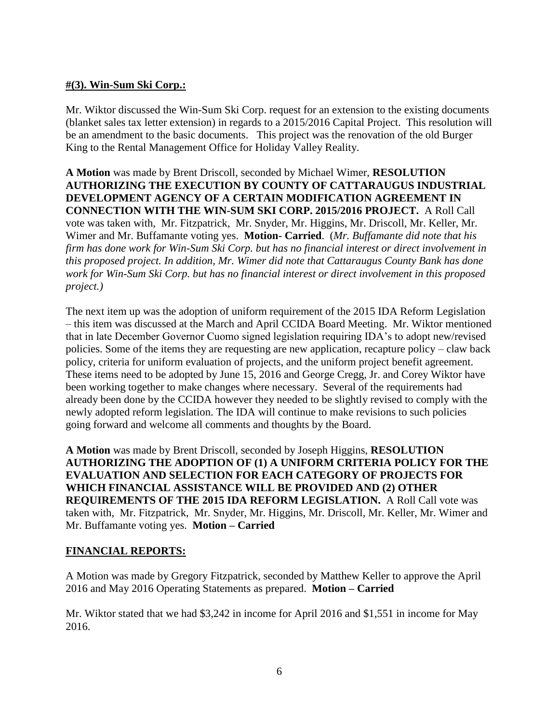# **#(3). Win-Sum Ski Corp.:**

Mr. Wiktor discussed the Win-Sum Ski Corp. request for an extension to the existing documents (blanket sales tax letter extension) in regards to a 2015/2016 Capital Project. This resolution will be an amendment to the basic documents. This project was the renovation of the old Burger King to the Rental Management Office for Holiday Valley Reality.

**A Motion** was made by Brent Driscoll, seconded by Michael Wimer, **RESOLUTION AUTHORIZING THE EXECUTION BY COUNTY OF CATTARAUGUS INDUSTRIAL DEVELOPMENT AGENCY OF A CERTAIN MODIFICATION AGREEMENT IN CONNECTION WITH THE WIN-SUM SKI CORP. 2015/2016 PROJECT.** A Roll Call vote was taken with, Mr. Fitzpatrick, Mr. Snyder, Mr. Higgins, Mr. Driscoll, Mr. Keller, Mr. Wimer and Mr. Buffamante voting yes. **Motion- Carried**. (*Mr. Buffamante did note that his firm has done work for Win-Sum Ski Corp. but has no financial interest or direct involvement in this proposed project. In addition, Mr. Wimer did note that Cattaraugus County Bank has done work for Win-Sum Ski Corp. but has no financial interest or direct involvement in this proposed project.)*

The next item up was the adoption of uniform requirement of the 2015 IDA Reform Legislation – this item was discussed at the March and April CCIDA Board Meeting. Mr. Wiktor mentioned that in late December Governor Cuomo signed legislation requiring IDA's to adopt new/revised policies. Some of the items they are requesting are new application, recapture policy – claw back policy, criteria for uniform evaluation of projects, and the uniform project benefit agreement. These items need to be adopted by June 15, 2016 and George Cregg, Jr. and Corey Wiktor have been working together to make changes where necessary. Several of the requirements had already been done by the CCIDA however they needed to be slightly revised to comply with the newly adopted reform legislation. The IDA will continue to make revisions to such policies going forward and welcome all comments and thoughts by the Board.

**A Motion** was made by Brent Driscoll, seconded by Joseph Higgins, **RESOLUTION AUTHORIZING THE ADOPTION OF (1) A UNIFORM CRITERIA POLICY FOR THE EVALUATION AND SELECTION FOR EACH CATEGORY OF PROJECTS FOR WHICH FINANCIAL ASSISTANCE WILL BE PROVIDED AND (2) OTHER REQUIREMENTS OF THE 2015 IDA REFORM LEGISLATION.** A Roll Call vote was taken with, Mr. Fitzpatrick, Mr. Snyder, Mr. Higgins, Mr. Driscoll, Mr. Keller, Mr. Wimer and Mr. Buffamante voting yes. **Motion – Carried**

# **FINANCIAL REPORTS:**

A Motion was made by Gregory Fitzpatrick, seconded by Matthew Keller to approve the April 2016 and May 2016 Operating Statements as prepared. **Motion – Carried**

Mr. Wiktor stated that we had \$3,242 in income for April 2016 and \$1,551 in income for May 2016.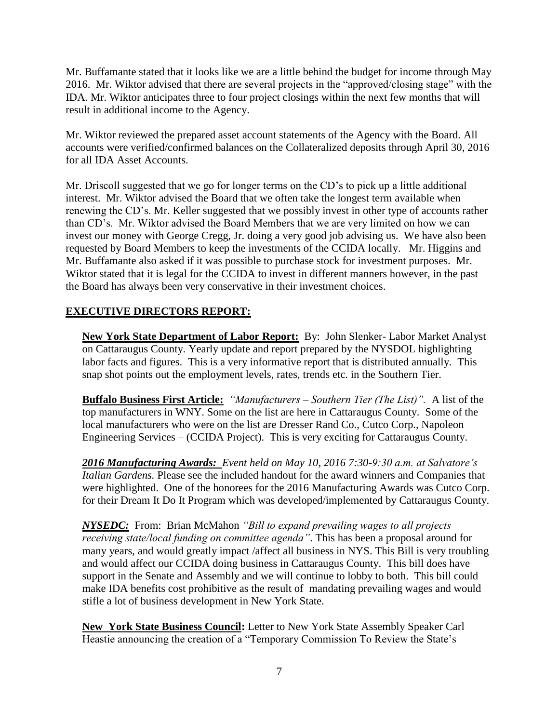Mr. Buffamante stated that it looks like we are a little behind the budget for income through May 2016. Mr. Wiktor advised that there are several projects in the "approved/closing stage" with the IDA. Mr. Wiktor anticipates three to four project closings within the next few months that will result in additional income to the Agency.

Mr. Wiktor reviewed the prepared asset account statements of the Agency with the Board. All accounts were verified/confirmed balances on the Collateralized deposits through April 30, 2016 for all IDA Asset Accounts.

Mr. Driscoll suggested that we go for longer terms on the CD's to pick up a little additional interest. Mr. Wiktor advised the Board that we often take the longest term available when renewing the CD's. Mr. Keller suggested that we possibly invest in other type of accounts rather than CD's. Mr. Wiktor advised the Board Members that we are very limited on how we can invest our money with George Cregg, Jr. doing a very good job advising us. We have also been requested by Board Members to keep the investments of the CCIDA locally. Mr. Higgins and Mr. Buffamante also asked if it was possible to purchase stock for investment purposes. Mr. Wiktor stated that it is legal for the CCIDA to invest in different manners however, in the past the Board has always been very conservative in their investment choices.

# **EXECUTIVE DIRECTORS REPORT:**

**New York State Department of Labor Report:** By: John Slenker- Labor Market Analyst on Cattaraugus County. Yearly update and report prepared by the NYSDOL highlighting labor facts and figures. This is a very informative report that is distributed annually. This snap shot points out the employment levels, rates, trends etc. in the Southern Tier.

**Buffalo Business First Article:** *"Manufacturers – Southern Tier (The List)".* A list of the top manufacturers in WNY. Some on the list are here in Cattaraugus County. Some of the local manufacturers who were on the list are Dresser Rand Co., Cutco Corp., Napoleon Engineering Services – (CCIDA Project). This is very exciting for Cattaraugus County.

*2016 Manufacturing Awards: Event held on May 10, 2016 7:30-9:30 a.m. at Salvatore's Italian Gardens.* Please see the included handout for the award winners and Companies that were highlighted. One of the honorees for the 2016 Manufacturing Awards was Cutco Corp. for their Dream It Do It Program which was developed/implemented by Cattaraugus County.

*NYSEDC:* From: Brian McMahon *"Bill to expand prevailing wages to all projects receiving state/local funding on committee agenda"*. This has been a proposal around for many years, and would greatly impact /affect all business in NYS. This Bill is very troubling and would affect our CCIDA doing business in Cattaraugus County. This bill does have support in the Senate and Assembly and we will continue to lobby to both. This bill could make IDA benefits cost prohibitive as the result of mandating prevailing wages and would stifle a lot of business development in New York State.

**New York State Business Council:** Letter to New York State Assembly Speaker Carl Heastie announcing the creation of a "Temporary Commission To Review the State's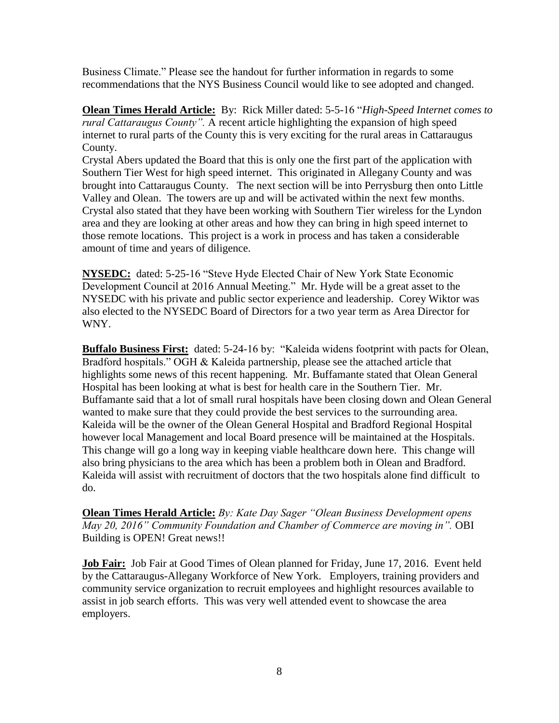Business Climate." Please see the handout for further information in regards to some recommendations that the NYS Business Council would like to see adopted and changed.

**Olean Times Herald Article:** By: Rick Miller dated: 5-5-16 "*High-Speed Internet comes to rural Cattaraugus County".* A recent article highlighting the expansion of high speed internet to rural parts of the County this is very exciting for the rural areas in Cattaraugus County.

Crystal Abers updated the Board that this is only one the first part of the application with Southern Tier West for high speed internet. This originated in Allegany County and was brought into Cattaraugus County. The next section will be into Perrysburg then onto Little Valley and Olean. The towers are up and will be activated within the next few months. Crystal also stated that they have been working with Southern Tier wireless for the Lyndon area and they are looking at other areas and how they can bring in high speed internet to those remote locations. This project is a work in process and has taken a considerable amount of time and years of diligence.

**NYSEDC:** dated: 5-25-16 "Steve Hyde Elected Chair of New York State Economic Development Council at 2016 Annual Meeting." Mr. Hyde will be a great asset to the NYSEDC with his private and public sector experience and leadership. Corey Wiktor was also elected to the NYSEDC Board of Directors for a two year term as Area Director for WNY.

**Buffalo Business First:** dated: 5-24-16 by: "Kaleida widens footprint with pacts for Olean, Bradford hospitals." OGH & Kaleida partnership, please see the attached article that highlights some news of this recent happening. Mr. Buffamante stated that Olean General Hospital has been looking at what is best for health care in the Southern Tier. Mr. Buffamante said that a lot of small rural hospitals have been closing down and Olean General wanted to make sure that they could provide the best services to the surrounding area. Kaleida will be the owner of the Olean General Hospital and Bradford Regional Hospital however local Management and local Board presence will be maintained at the Hospitals. This change will go a long way in keeping viable healthcare down here. This change will also bring physicians to the area which has been a problem both in Olean and Bradford. Kaleida will assist with recruitment of doctors that the two hospitals alone find difficult to do.

**Olean Times Herald Article:** *By: Kate Day Sager "Olean Business Development opens May 20, 2016" Community Foundation and Chamber of Commerce are moving in".* OBI Building is OPEN! Great news!!

**Job Fair:**Job Fair at Good Times of Olean planned for Friday, June 17, 2016. Event held by the Cattaraugus-Allegany Workforce of New York. Employers, training providers and community service organization to recruit employees and highlight resources available to assist in job search efforts. This was very well attended event to showcase the area employers.